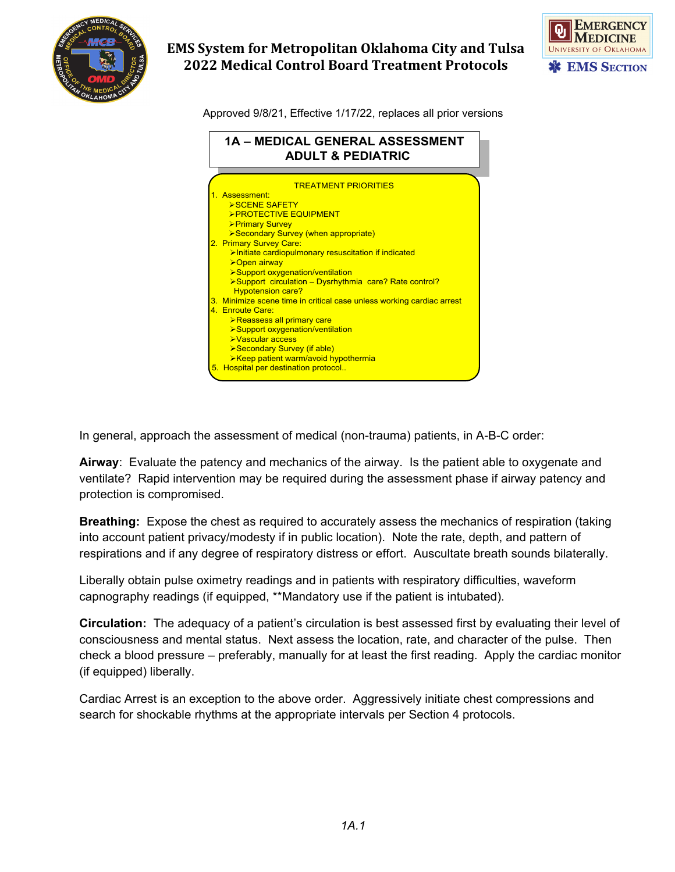

# **EMS System for Metropolitan Oklahoma City and Tulsa 2022 Medical Control Board Treatment Protocols**



Approved 9/8/21, Effective 1/17/22, replaces all prior versions



In general, approach the assessment of medical (non-trauma) patients, in A-B-C order:

**Airway**: Evaluate the patency and mechanics of the airway. Is the patient able to oxygenate and ventilate? Rapid intervention may be required during the assessment phase if airway patency and protection is compromised.

**Breathing:** Expose the chest as required to accurately assess the mechanics of respiration (taking into account patient privacy/modesty if in public location). Note the rate, depth, and pattern of respirations and if any degree of respiratory distress or effort. Auscultate breath sounds bilaterally.

Liberally obtain pulse oximetry readings and in patients with respiratory difficulties, waveform capnography readings (if equipped, \*\*Mandatory use if the patient is intubated).

**Circulation:** The adequacy of a patient's circulation is best assessed first by evaluating their level of consciousness and mental status. Next assess the location, rate, and character of the pulse. Then check a blood pressure – preferably, manually for at least the first reading. Apply the cardiac monitor (if equipped) liberally.

Cardiac Arrest is an exception to the above order. Aggressively initiate chest compressions and search for shockable rhythms at the appropriate intervals per Section 4 protocols.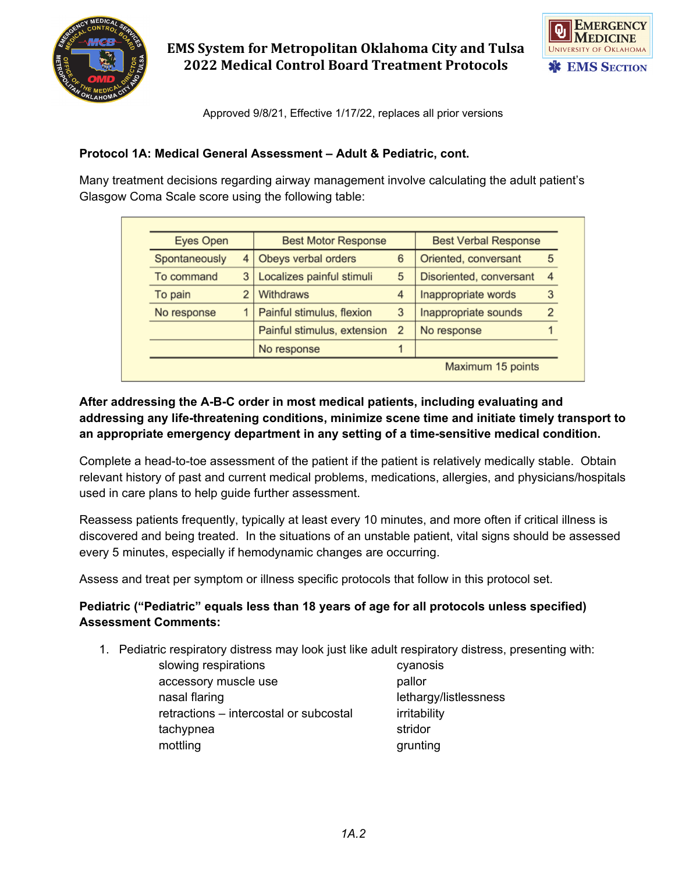

**EMS System for Metropolitan Oklahoma City and Tulsa 2022 Medical Control Board Treatment Protocols**



Approved 9/8/21, Effective 1/17/22, replaces all prior versions

### **Protocol 1A: Medical General Assessment – Adult & Pediatric, cont.**

Many treatment decisions regarding airway management involve calculating the adult patient's Glasgow Coma Scale score using the following table:

| Eyes Open     |                | <b>Best Motor Response</b>  |                | <b>Best Verbal Response</b> |                |
|---------------|----------------|-----------------------------|----------------|-----------------------------|----------------|
| Spontaneously | $\overline{4}$ | Obeys verbal orders         | 6              | Oriented, conversant        | 5              |
| To command    | 3              | Localizes painful stimuli   | 5              | Disoriented, conversant     | $\overline{4}$ |
| To pain       |                | Withdraws                   | 4              | Inappropriate words         | 3              |
| No response   |                | Painful stimulus, flexion   | 3              | Inappropriate sounds        | $\overline{2}$ |
|               |                | Painful stimulus, extension | $\overline{2}$ | No response                 |                |
|               |                | No response                 |                |                             |                |
|               |                |                             |                | Maximum 15 points           |                |

## **After addressing the A-B-C order in most medical patients, including evaluating and addressing any life-threatening conditions, minimize scene time and initiate timely transport to an appropriate emergency department in any setting of a time-sensitive medical condition.**

Complete a head-to-toe assessment of the patient if the patient is relatively medically stable. Obtain relevant history of past and current medical problems, medications, allergies, and physicians/hospitals used in care plans to help guide further assessment.

Reassess patients frequently, typically at least every 10 minutes, and more often if critical illness is discovered and being treated. In the situations of an unstable patient, vital signs should be assessed every 5 minutes, especially if hemodynamic changes are occurring.

Assess and treat per symptom or illness specific protocols that follow in this protocol set.

## **Pediatric ("Pediatric" equals less than 18 years of age for all protocols unless specified) Assessment Comments:**

1. Pediatric respiratory distress may look just like adult respiratory distress, presenting with:

slowing respirations and the cyanosis cyanosis accessory muscle use pallor nasal flaring lethargy/listlessness retractions – intercostal or subcostal irritability tachypnea stridor mottling grunting